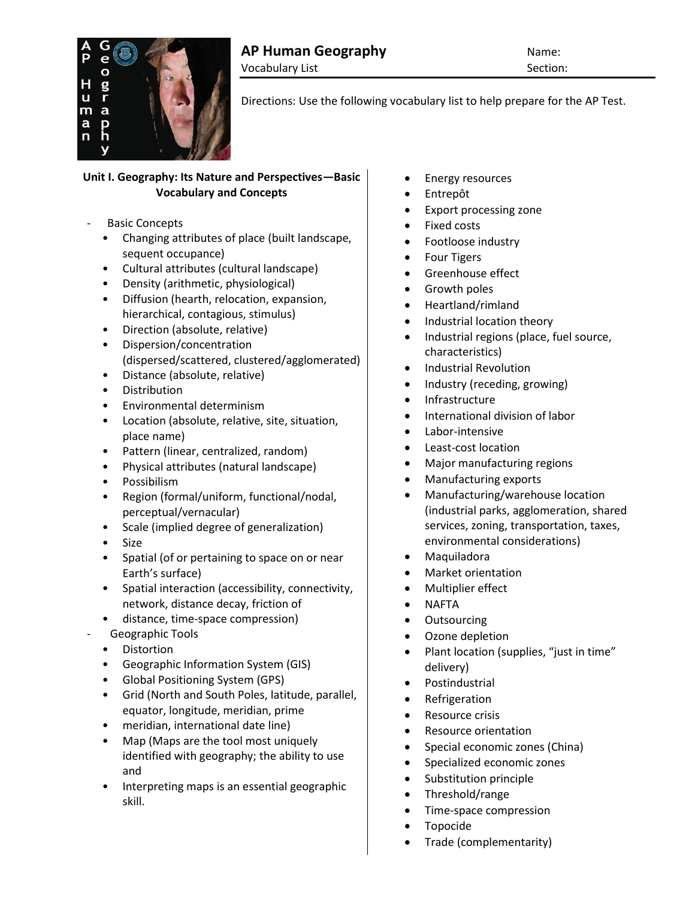

Directions: Use the following vocabulary list to help prepare for the AP Test.

# **Unit I. Geography: Its Nature and Perspectives—Basic Vocabulary and Concepts**

- Basic Concepts
	- Changing attributes of place (built landscape, sequent occupance)
	- Cultural attributes (cultural landscape)
	- Density (arithmetic, physiological)
	- Diffusion (hearth, relocation, expansion, hierarchical, contagious, stimulus)
	- Direction (absolute, relative)
	- Dispersion/concentration (dispersed/scattered, clustered/agglomerated)
	- Distance (absolute, relative)
	- Distribution
	- Environmental determinism
	- Location (absolute, relative, site, situation, place name)
	- Pattern (linear, centralized, random)
	- Physical attributes (natural landscape)
	- Possibilism
	- Region (formal/uniform, functional/nodal, perceptual/vernacular)
	- Scale (implied degree of generalization)
	- Size
	- Spatial (of or pertaining to space on or near Earth's surface)
	- Spatial interaction (accessibility, connectivity, network, distance decay, friction of
	- distance, time-space compression) - Geographic Tools
	- Distortion
	- Geographic Information System (GIS)
	- Global Positioning System (GPS)
	- Grid (North and South Poles, latitude, parallel, equator, longitude, meridian, prime
	- meridian, international date line)
	- Map (Maps are the tool most uniquely identified with geography; the ability to use and
	- Interpreting maps is an essential geographic skill.
- Energy resources
- Entrepôt
- Export processing zone
- Fixed costs
- Footloose industry
- Four Tigers
- **•** Greenhouse effect
- Growth poles
- Heartland/rimland
- Industrial location theory
- Industrial regions (place, fuel source, characteristics)
- Industrial Revolution
- Industry (receding, growing)
- Infrastructure
- International division of labor
- Labor-intensive
- Least-cost location
- Major manufacturing regions
- Manufacturing exports
- Manufacturing/warehouse location (industrial parks, agglomeration, shared services, zoning, transportation, taxes, environmental considerations)
- Maquiladora
- Market orientation
- Multiplier effect
- NAFTA
- Outsourcing
- Ozone depletion
- Plant location (supplies, "just in time" delivery)
- Postindustrial
- Refrigeration
- Resource crisis
- Resource orientation
- Special economic zones (China)
- Specialized economic zones
- Substitution principle
- Threshold/range
- Time-space compression
- Topocide
- Trade (complementarity)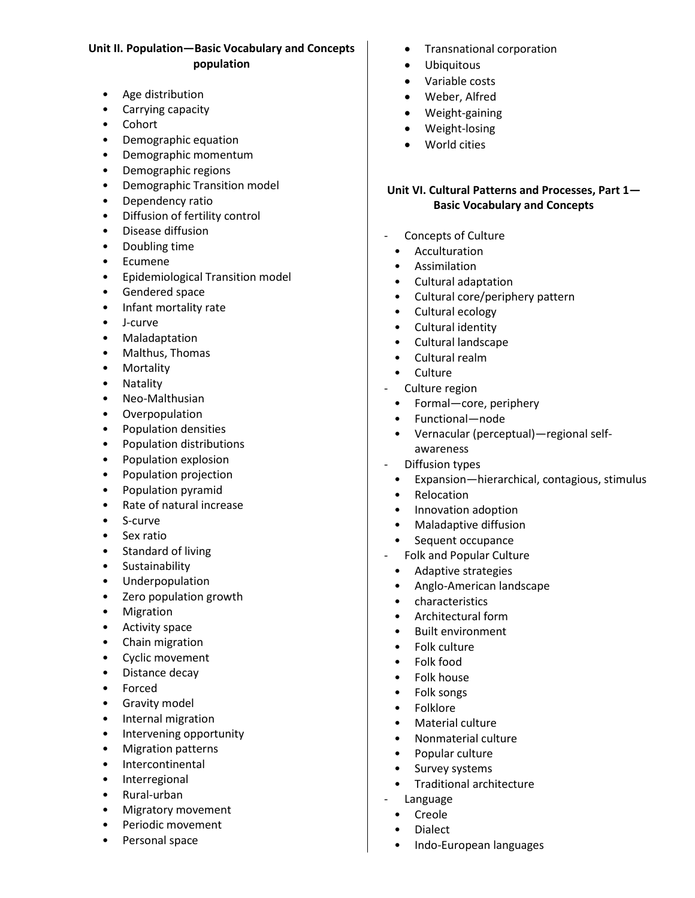## **Unit II. Population—Basic Vocabulary and Concepts population**

- Age distribution
- Carrying capacity
- Cohort
- Demographic equation
- Demographic momentum
- Demographic regions
- Demographic Transition model
- Dependency ratio
- Diffusion of fertility control
- Disease diffusion
- Doubling time
- Ecumene
- Epidemiological Transition model
- Gendered space
- Infant mortality rate
- J-curve
- Maladaptation
- Malthus, Thomas
- Mortality
- Natality
- Neo-Malthusian
- Overpopulation
- Population densities
- Population distributions
- Population explosion
- Population projection
- Population pyramid
- Rate of natural increase
- S-curve
- Sex ratio
- Standard of living
- Sustainability
- Underpopulation
- Zero population growth
- Migration
- Activity space
- Chain migration
- Cyclic movement
- Distance decay
- Forced
- Gravity model
- Internal migration
- Intervening opportunity
- Migration patterns
- Intercontinental
- Interregional
- Rural-urban
- Migratory movement
- Periodic movement
- Personal space
- Transnational corporation
- **•** Ubiquitous
- Variable costs
- Weber, Alfred
- Weight-gaining
- Weight-losing
- World cities

### **Unit VI. Cultural Patterns and Processes, Part 1— Basic Vocabulary and Concepts**

- Concepts of Culture
	- Acculturation
	- Assimilation
	- Cultural adaptation
	- Cultural core/periphery pattern
	- Cultural ecology
	- Cultural identity
	- Cultural landscape
	- Cultural realm
- Culture
- Culture region
	- Formal—core, periphery
	- Functional—node
	- Vernacular (perceptual)—regional selfawareness
- Diffusion types
	- Expansion—hierarchical, contagious, stimulus
	- Relocation
	- Innovation adoption
	- Maladaptive diffusion<br>• Sequent occupance
	- Sequent occupance
- Folk and Popular Culture
	- Adaptive strategies
	- Anglo-American landscape
	- characteristics
	- Architectural form
	- Built environment
	- Folk culture
	- Folk food
	- Folk house
	- Folk songs
	- Folklore
	- Material culture
	- Nonmaterial culture
	- Popular culture
	- Survey systems
	- Traditional architecture
- Language
	- Creole
	- **Dialect**
	- Indo-European languages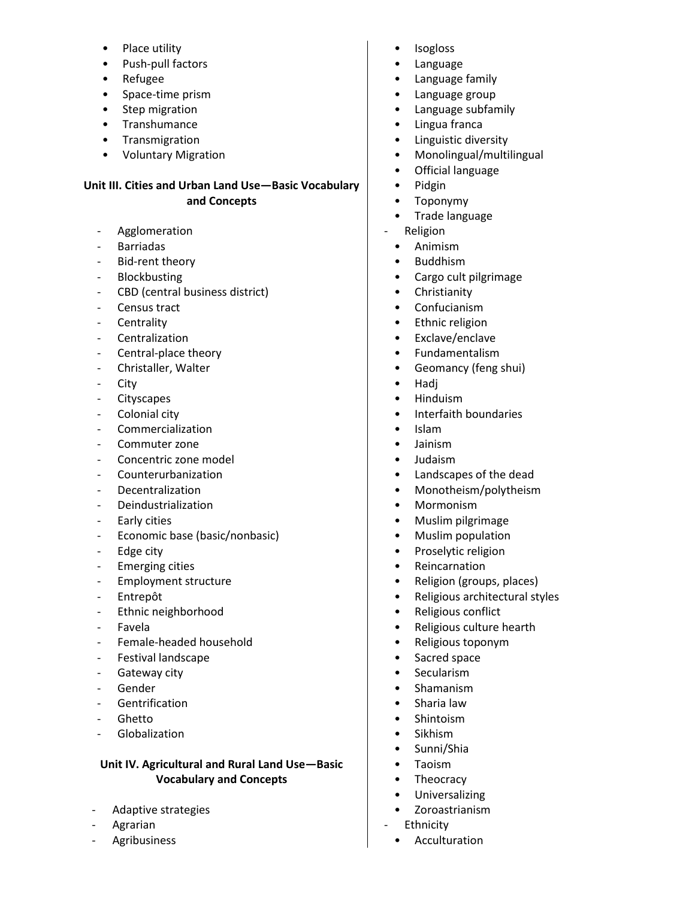- Place utility
- Push-pull factors
- Refugee
- Space-time prism
- Step migration
- Transhumance
- Transmigration
- Voluntary Migration

#### **Unit III. Cities and Urban Land Use—Basic Vocabulary and Concepts**

- **Agglomeration**
- Barriadas
- Bid-rent theory
- **Blockbusting**
- CBD (central business district)
- Census tract
- **Centrality**
- **Centralization**
- Central-place theory
- Christaller, Walter
- City
- Cityscapes
- Colonial city
- Commercialization
- Commuter zone
- Concentric zone model
- Counterurbanization
- **Decentralization**
- Deindustrialization
- Early cities
- Economic base (basic/nonbasic)
- Edge city
- Emerging cities
- Employment structure
- Entrepôt
- Ethnic neighborhood
- Favela
- Female-headed household
- Festival landscape
- Gateway city
- **Gender**
- **Gentrification**
- **Ghetto**
- **Globalization**

## **Unit IV. Agricultural and Rural Land Use—Basic Vocabulary and Concepts**

- Adaptive strategies
- **Agrarian**
- **Agribusiness**
- **Isogloss**
- Language
- Language family
- Language group
- Language subfamily
- Lingua franca
- Linguistic diversity
- Monolingual/multilingual
- Official language
- Pidgin
- Toponymy
- Trade language
- Religion
	- Animism
	- Buddhism
	- Cargo cult pilgrimage
	- Christianity
	- Confucianism
	- Ethnic religion
	- Exclave/enclave
	- Fundamentalism
	- Geomancy (feng shui)
	- Hadj
	- Hinduism
	- Interfaith boundaries
	- Islam
	- Jainism
	- Judaism
	- Landscapes of the dead
	- Monotheism/polytheism
	- Mormonism
	- Muslim pilgrimage
	- Muslim population
	- Proselytic religion
	- Reincarnation
	- Religion (groups, places)
	- Religious architectural styles
	- Religious conflict
	- Religious culture hearth
	- Religious toponym
	- Sacred space
	- Secularism
	- Shamanism
	- Sharia law
	- Shintoism
	- Sikhism
	- Sunni/Shia
	- Taoism
	- Theocracy
	- Universalizing
	- Zoroastrianism
- **Ethnicity** 
	- **Acculturation**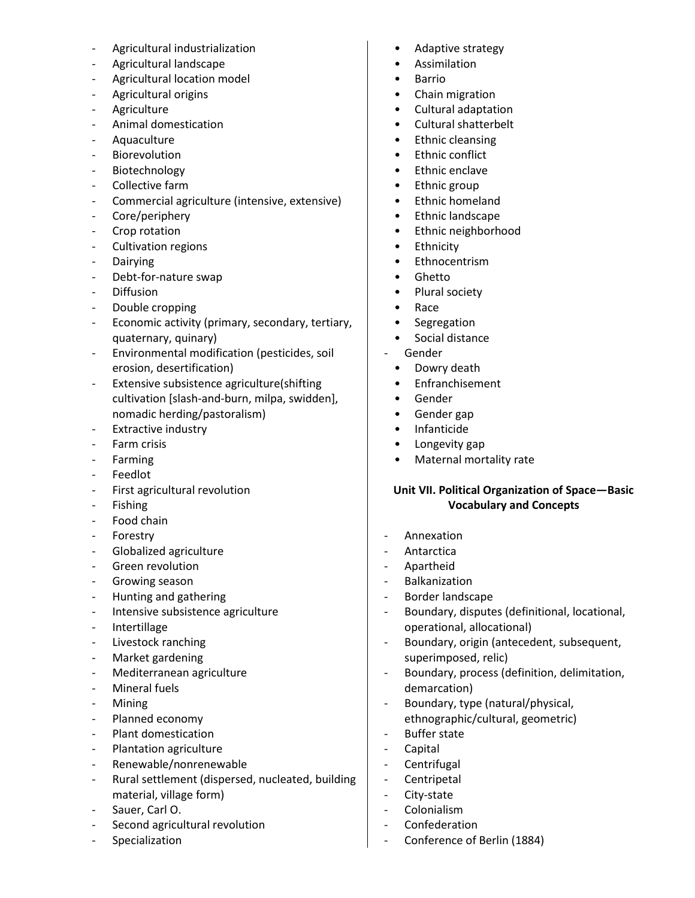- Agricultural industrialization
- Agricultural landscape
- Agricultural location model
- Agricultural origins
- Agriculture
- Animal domestication
- Aquaculture
- **Biorevolution**
- **Biotechnology**
- Collective farm
- Commercial agriculture (intensive, extensive)
- Core/periphery
- Crop rotation
- Cultivation regions
- Dairying
- Debt-for-nature swap
- Diffusion
- Double cropping
- Economic activity (primary, secondary, tertiary, quaternary, quinary)
- Environmental modification (pesticides, soil erosion, desertification)
- Extensive subsistence agriculture(shifting cultivation [slash-and-burn, milpa, swidden], nomadic herding/pastoralism)
- Extractive industry
- Farm crisis
- Farming
- Feedlot
- First agricultural revolution
- Fishing
- Food chain
- Forestry
- Globalized agriculture
- Green revolution
- Growing season
- Hunting and gathering
- Intensive subsistence agriculture
- Intertillage
- Livestock ranching
- Market gardening
- Mediterranean agriculture
- Mineral fuels
- **Mining**
- Planned economy
- Plant domestication
- Plantation agriculture
- Renewable/nonrenewable
- Rural settlement (dispersed, nucleated, building material, village form)
- Sauer, Carl O.
- Second agricultural revolution
- Specialization
- Adaptive strategy
- Assimilation
- Barrio
- Chain migration
- Cultural adaptation
- Cultural shatterbelt
- Ethnic cleansing
- Ethnic conflict
- Ethnic enclave
- Ethnic group
- Ethnic homeland
- Ethnic landscape
- Ethnic neighborhood
- Ethnicity
- Ethnocentrism
- Ghetto
- Plural society
- Race
- Segregation
- Social distance
- Gender
	- Dowry death
	- Enfranchisement
	- Gender
	- Gender gap
	- Infanticide
	- Longevity gap
	- Maternal mortality rate

### **Unit VII. Political Organization of Space—Basic Vocabulary and Concepts**

- Annexation
- Antarctica
- Apartheid
- Balkanization
- Border landscape
- Boundary, disputes (definitional, locational, operational, allocational)
- Boundary, origin (antecedent, subsequent, superimposed, relic)
- Boundary, process (definition, delimitation, demarcation)
- Boundary, type (natural/physical, ethnographic/cultural, geometric)
- Buffer state
- Capital
- Centrifugal
- Centripetal
- City-state
- Colonialism
- Confederation
- Conference of Berlin (1884)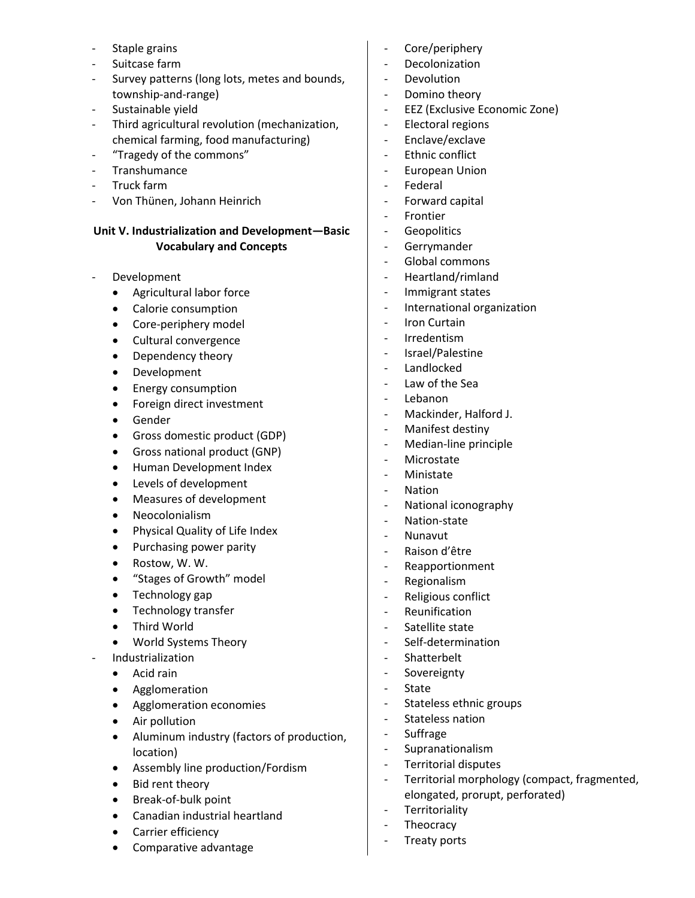- Staple grains
- Suitcase farm
- Survey patterns (long lots, metes and bounds, township-and-range)
- Sustainable yield
- Third agricultural revolution (mechanization, chemical farming, food manufacturing)
- "Tragedy of the commons"
- **Transhumance**
- Truck farm
- Von Thünen, Johann Heinrich

#### **Unit V. Industrialization and Development—Basic Vocabulary and Concepts**

- **Development** 
	- Agricultural labor force
	- Calorie consumption
	- Core-periphery model
	- Cultural convergence
	- Dependency theory
	- Development
	- Energy consumption
	- Foreign direct investment
	- Gender
	- Gross domestic product (GDP)
	- Gross national product (GNP)
	- Human Development Index
	- Levels of development
	- Measures of development
	- Neocolonialism
	- Physical Quality of Life Index
	- Purchasing power parity
	- Rostow, W. W.
	- "Stages of Growth" model
	- Technology gap
	- Technology transfer
	- Third World
	- World Systems Theory
- Industrialization
	- Acid rain
	- Agglomeration
	- Agglomeration economies
	- Air pollution
	- Aluminum industry (factors of production, location)
	- Assembly line production/Fordism
	- Bid rent theory
	- Break-of-bulk point
	- Canadian industrial heartland
	- Carrier efficiency
	- Comparative advantage
- Core/periphery
- Decolonization
- Devolution
- Domino theory
- EEZ (Exclusive Economic Zone)
- Electoral regions
- Enclave/exclave
- Ethnic conflict
- European Union
- Federal
- Forward capital
- Frontier
- Geopolitics
- Gerrymander
- Global commons
- Heartland/rimland
- Immigrant states
- International organization
- Iron Curtain
- Irredentism
- Israel/Palestine
- Landlocked
- Law of the Sea
- Lebanon
- Mackinder, Halford J.
- Manifest destiny
- Median-line principle
- Microstate
- Ministate
- Nation
- National iconography
- Nation-state
- Nunavut
- Raison d'être
- Reapportionment
- Regionalism
- Religious conflict
- Reunification
- Satellite state
- Self-determination
- Shatterbelt
- Sovereignty
- State
- Stateless ethnic groups
- Stateless nation
- Suffrage
- Supranationalism
- Territorial disputes
- Territorial morphology (compact, fragmented, elongated, prorupt, perforated)
- Territoriality
- Theocracy
- Treaty ports